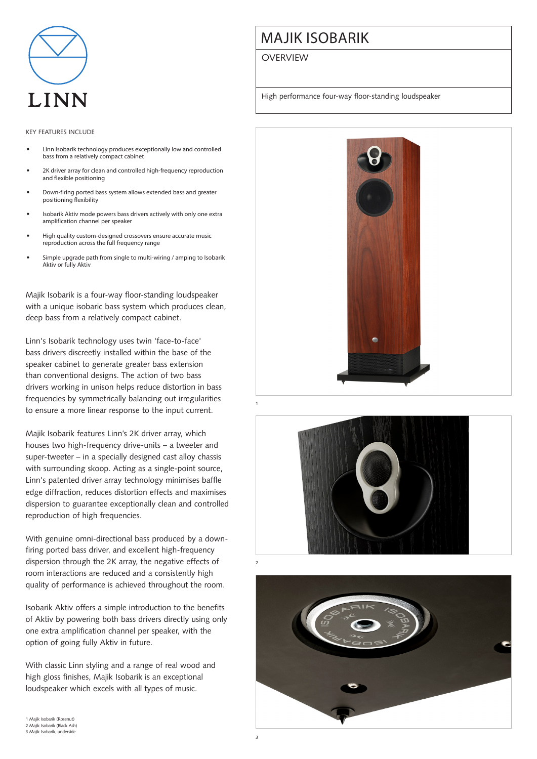

## Key features include

- Linn Isobarik technology produces exceptionally low and controlled bass from a relatively compact cabinet
- 2K driver array for clean and controlled high-frequency reproduction and flexible positioning
- Down-firing ported bass system allows extended bass and greater positioning flexibility
- Isobarik Aktiv mode powers bass drivers actively with only one extra amplification channel per speaker
- High quality custom-designed crossovers ensure accurate music reproduction across the full frequency range
- Simple upgrade path from single to multi-wiring / amping to Isobarik Aktiv or fully Aktiv

Majik Isobarik is a four-way floor-standing loudspeaker with a unique isobaric bass system which produces clean, deep bass from a relatively compact cabinet.

Linn's Isobarik technology uses twin 'face-to-face' bass drivers discreetly installed within the base of the speaker cabinet to generate greater bass extension than conventional designs. The action of two bass drivers working in unison helps reduce distortion in bass frequencies by symmetrically balancing out irregularities to ensure a more linear response to the input current.

Majik Isobarik features Linn's 2K driver array, which houses two high-frequency drive-units – a tweeter and super-tweeter – in a specially designed cast alloy chassis with surrounding skoop. Acting as a single-point source, Linn's patented driver array technology minimises baffle edge diffraction, reduces distortion effects and maximises dispersion to guarantee exceptionally clean and controlled reproduction of high frequencies.

With genuine omni-directional bass produced by a downfiring ported bass driver, and excellent high-frequency dispersion through the 2K array, the negative effects of room interactions are reduced and a consistently high quality of performance is achieved throughout the room.

Isobarik Aktiv offers a simple introduction to the benefits of Aktiv by powering both bass drivers directly using only one extra amplification channel per speaker, with the option of going fully Aktiv in future.

With classic Linn styling and a range of real wood and high gloss finishes, Majik Isobarik is an exceptional loudspeaker which excels with all types of music.

Majik isobarik

**OVERVIEW** 

High performance four-way floor-standing loudspeaker







1 Majik Isobarik (Rosenut) 2 Majik Isobarik (Black Ash) 3 Majik Isobarik, underside 1

2